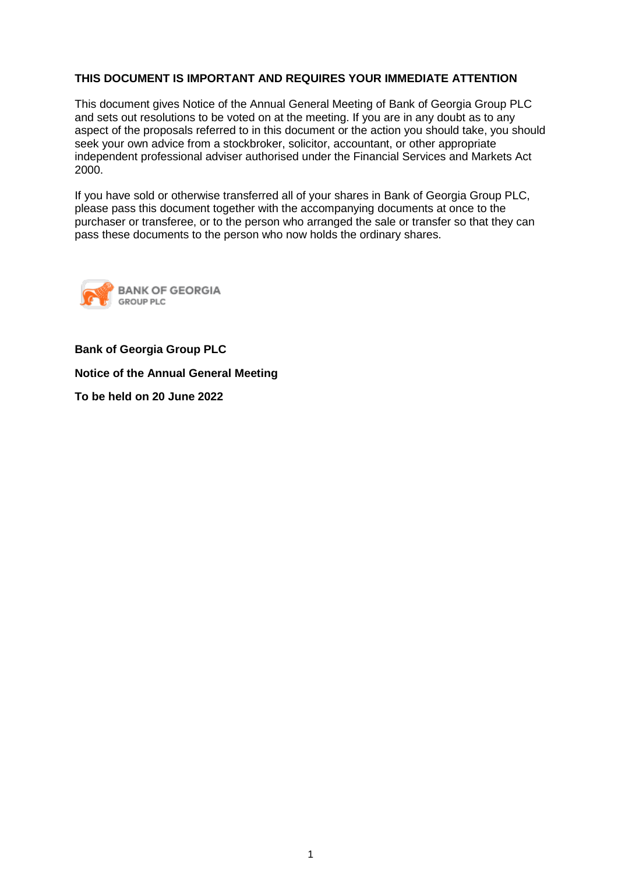# **THIS DOCUMENT IS IMPORTANT AND REQUIRES YOUR IMMEDIATE ATTENTION**

This document gives Notice of the Annual General Meeting of Bank of Georgia Group PLC and sets out resolutions to be voted on at the meeting. If you are in any doubt as to any aspect of the proposals referred to in this document or the action you should take, you should seek your own advice from a stockbroker, solicitor, accountant, or other appropriate independent professional adviser authorised under the Financial Services and Markets Act 2000.

If you have sold or otherwise transferred all of your shares in Bank of Georgia Group PLC, please pass this document together with the accompanying documents at once to the purchaser or transferee, or to the person who arranged the sale or transfer so that they can pass these documents to the person who now holds the ordinary shares.



**Bank of Georgia Group PLC**

**Notice of the Annual General Meeting**

**To be held on 20 June 2022**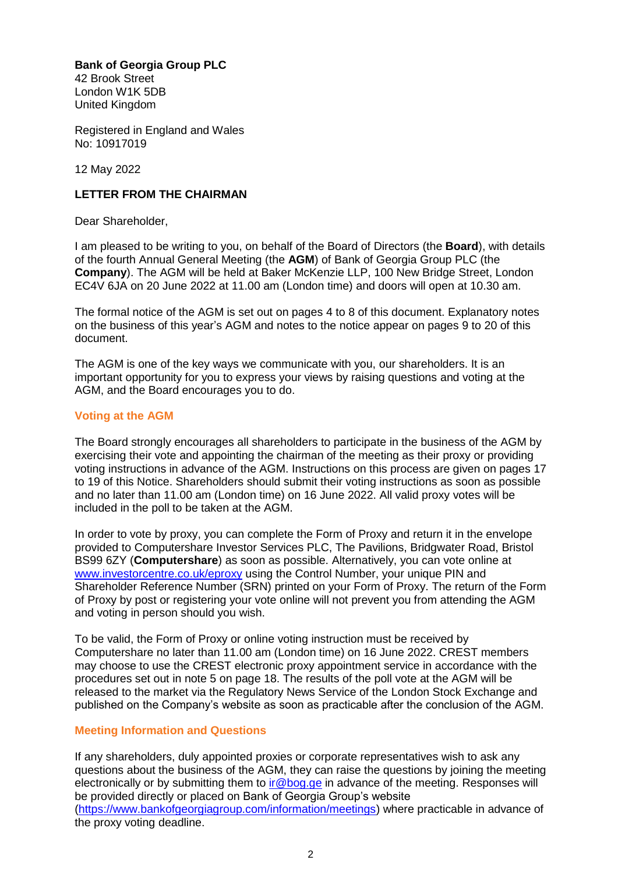**Bank of Georgia Group PLC**

42 Brook Street London W1K 5DB United Kingdom

Registered in England and Wales No: 10917019

12 May 2022

# **LETTER FROM THE CHAIRMAN**

Dear Shareholder,

I am pleased to be writing to you, on behalf of the Board of Directors (the **Board**), with details of the fourth Annual General Meeting (the **AGM**) of Bank of Georgia Group PLC (the **Company**). The AGM will be held at Baker McKenzie LLP, 100 New Bridge Street, London EC4V 6JA on 20 June 2022 at 11.00 am (London time) and doors will open at 10.30 am.

The formal notice of the AGM is set out on pages 4 to 8 of this document. Explanatory notes on the business of this year's AGM and notes to the notice appear on pages 9 to 20 of this document.

The AGM is one of the key ways we communicate with you, our shareholders. It is an important opportunity for you to express your views by raising questions and voting at the AGM, and the Board encourages you to do.

# **Voting at the AGM**

The Board strongly encourages all shareholders to participate in the business of the AGM by exercising their vote and appointing the chairman of the meeting as their proxy or providing voting instructions in advance of the AGM. Instructions on this process are given on pages 17 to 19 of this Notice. Shareholders should submit their voting instructions as soon as possible and no later than 11.00 am (London time) on 16 June 2022. All valid proxy votes will be included in the poll to be taken at the AGM.

In order to vote by proxy, you can complete the Form of Proxy and return it in the envelope provided to Computershare Investor Services PLC, The Pavilions, Bridgwater Road, Bristol BS99 6ZY (**Computershare**) as soon as possible. Alternatively, you can vote online at [www.investorcentre.co.uk/eproxy](http://www.investorcentre.co.uk/eproxy) using the Control Number, your unique PIN and Shareholder Reference Number (SRN) printed on your Form of Proxy. The return of the Form of Proxy by post or registering your vote online will not prevent you from attending the AGM and voting in person should you wish.

To be valid, the Form of Proxy or online voting instruction must be received by Computershare no later than 11.00 am (London time) on 16 June 2022. CREST members may choose to use the CREST electronic proxy appointment service in accordance with the procedures set out in note 5 on page 18. The results of the poll vote at the AGM will be released to the market via the Regulatory News Service of the London Stock Exchange and published on the Company's website as soon as practicable after the conclusion of the AGM.

# **Meeting Information and Questions**

If any shareholders, duly appointed proxies or corporate representatives wish to ask any questions about the business of the AGM, they can raise the questions by joining the meeting electronically or by submitting them to *ir@bog.ge* in advance of the meeting. Responses will be provided directly or placed on Bank of Georgia Group's website [\(https://www.bankofgeorgiagroup.com/information/meetings\)](https://www.bankofgeorgiagroup.com/information/meetings) where practicable in advance of the proxy voting deadline.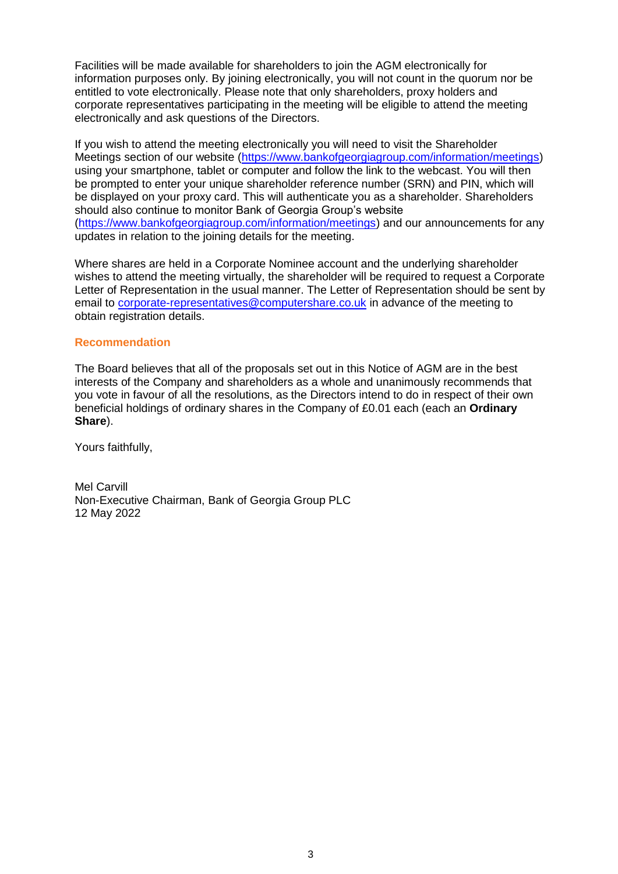Facilities will be made available for shareholders to join the AGM electronically for information purposes only. By joining electronically, you will not count in the quorum nor be entitled to vote electronically. Please note that only shareholders, proxy holders and corporate representatives participating in the meeting will be eligible to attend the meeting electronically and ask questions of the Directors.

If you wish to attend the meeting electronically you will need to visit the Shareholder Meetings section of our website [\(https://www.bankofgeorgiagroup.com/information/meetings\)](https://www.bankofgeorgiagroup.com/information/meetings) using your smartphone, tablet or computer and follow the link to the webcast. You will then be prompted to enter your unique shareholder reference number (SRN) and PIN, which will be displayed on your proxy card. This will authenticate you as a shareholder. Shareholders should also continue to monitor Bank of Georgia Group's website [\(https://www.bankofgeorgiagroup.com/information/meetings\)](https://www.bankofgeorgiagroup.com/information/meetings) and our announcements for any updates in relation to the joining details for the meeting.

Where shares are held in a Corporate Nominee account and the underlying shareholder wishes to attend the meeting virtually, the shareholder will be required to request a Corporate Letter of Representation in the usual manner. The Letter of Representation should be sent by email to corporate-representatives@computershare.co.uk in advance of the meeting to obtain registration details.

## **Recommendation**

The Board believes that all of the proposals set out in this Notice of AGM are in the best interests of the Company and shareholders as a whole and unanimously recommends that you vote in favour of all the resolutions, as the Directors intend to do in respect of their own beneficial holdings of ordinary shares in the Company of £0.01 each (each an **Ordinary Share**).

Yours faithfully,

Mel Carvill Non-Executive Chairman, Bank of Georgia Group PLC 12 May 2022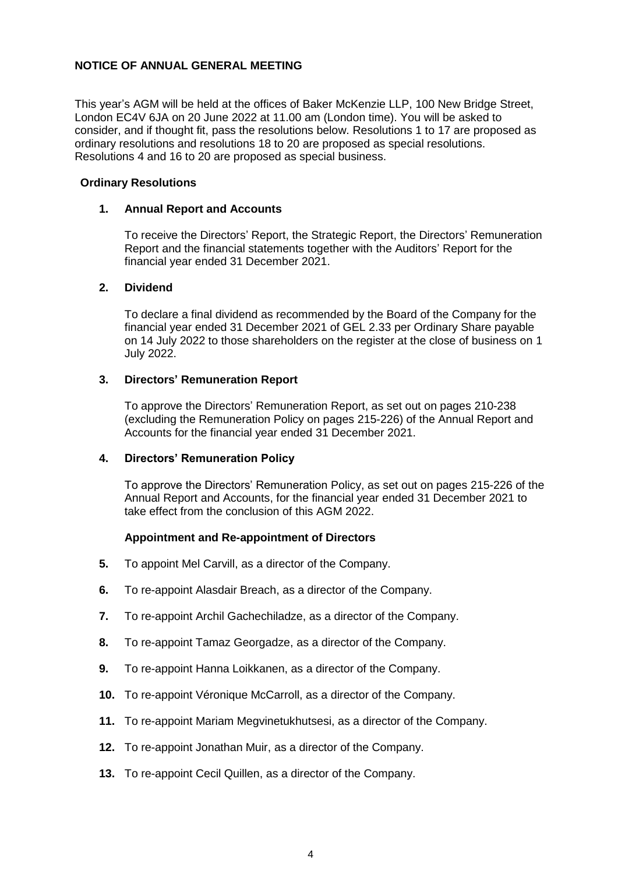# **NOTICE OF ANNUAL GENERAL MEETING**

This year's AGM will be held at the offices of Baker McKenzie LLP, 100 New Bridge Street, London EC4V 6JA on 20 June 2022 at 11.00 am (London time). You will be asked to consider, and if thought fit, pass the resolutions below. Resolutions 1 to 17 are proposed as ordinary resolutions and resolutions 18 to 20 are proposed as special resolutions. Resolutions 4 and 16 to 20 are proposed as special business.

## **Ordinary Resolutions**

## **1. Annual Report and Accounts**

To receive the Directors' Report, the Strategic Report, the Directors' Remuneration Report and the financial statements together with the Auditors' Report for the financial year ended 31 December 2021.

## **2. Dividend**

To declare a final dividend as recommended by the Board of the Company for the financial year ended 31 December 2021 of GEL 2.33 per Ordinary Share payable on 14 July 2022 to those shareholders on the register at the close of business on 1 July 2022.

# **3. Directors' Remuneration Report**

To approve the Directors' Remuneration Report, as set out on pages 210-238 (excluding the Remuneration Policy on pages 215-226) of the Annual Report and Accounts for the financial year ended 31 December 2021.

#### **4. Directors' Remuneration Policy**

To approve the Directors' Remuneration Policy, as set out on pages 215-226 of the Annual Report and Accounts, for the financial year ended 31 December 2021 to take effect from the conclusion of this AGM 2022.

# **Appointment and Re-appointment of Directors**

- **5.** To appoint Mel Carvill, as a director of the Company.
- **6.** To re-appoint Alasdair Breach, as a director of the Company.
- **7.** To re-appoint Archil Gachechiladze, as a director of the Company.
- **8.** To re-appoint Tamaz Georgadze, as a director of the Company.
- **9.** To re-appoint Hanna Loikkanen, as a director of the Company.
- **10.** To re-appoint Véronique McCarroll, as a director of the Company.
- **11.** To re-appoint Mariam Megvinetukhutsesi, as a director of the Company.
- **12.** To re-appoint Jonathan Muir, as a director of the Company.
- **13.** To re-appoint Cecil Quillen, as a director of the Company.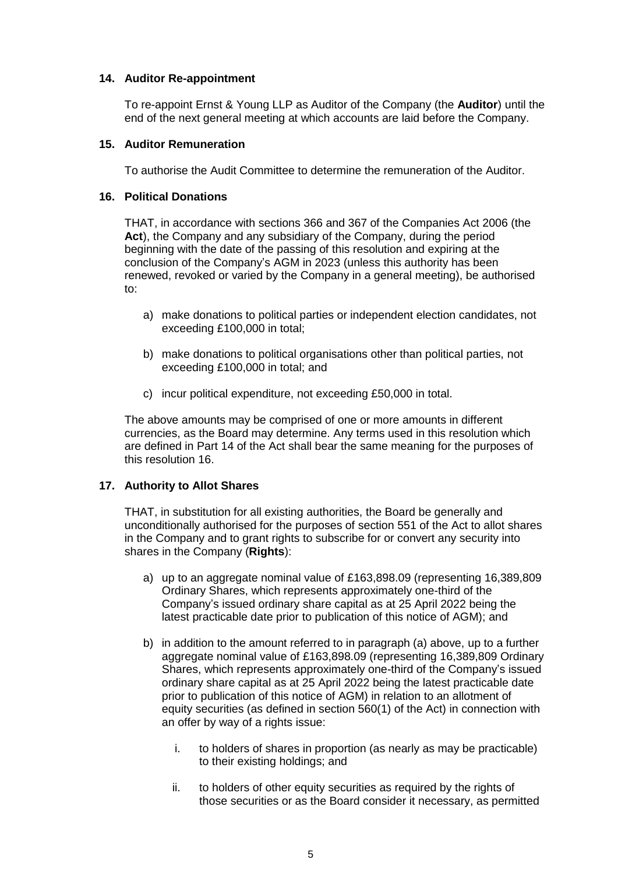# **14. Auditor Re-appointment**

To re-appoint Ernst & Young LLP as Auditor of the Company (the **Auditor**) until the end of the next general meeting at which accounts are laid before the Company.

## **15. Auditor Remuneration**

To authorise the Audit Committee to determine the remuneration of the Auditor.

## **16. Political Donations**

THAT, in accordance with sections 366 and 367 of the Companies Act 2006 (the **Act**), the Company and any subsidiary of the Company, during the period beginning with the date of the passing of this resolution and expiring at the conclusion of the Company's AGM in 2023 (unless this authority has been renewed, revoked or varied by the Company in a general meeting), be authorised to:

- a) make donations to political parties or independent election candidates, not exceeding £100,000 in total;
- b) make donations to political organisations other than political parties, not exceeding £100,000 in total; and
- c) incur political expenditure, not exceeding £50,000 in total.

The above amounts may be comprised of one or more amounts in different currencies, as the Board may determine. Any terms used in this resolution which are defined in Part 14 of the Act shall bear the same meaning for the purposes of this resolution 16.

# **17. Authority to Allot Shares**

THAT, in substitution for all existing authorities, the Board be generally and unconditionally authorised for the purposes of section 551 of the Act to allot shares in the Company and to grant rights to subscribe for or convert any security into shares in the Company (**Rights**):

- a) up to an aggregate nominal value of £163,898.09 (representing 16,389,809 Ordinary Shares, which represents approximately one-third of the Company's issued ordinary share capital as at 25 April 2022 being the latest practicable date prior to publication of this notice of AGM); and
- b) in addition to the amount referred to in paragraph (a) above, up to a further aggregate nominal value of £163,898.09 (representing 16,389,809 Ordinary Shares, which represents approximately one-third of the Company's issued ordinary share capital as at 25 April 2022 being the latest practicable date prior to publication of this notice of AGM) in relation to an allotment of equity securities (as defined in section 560(1) of the Act) in connection with an offer by way of a rights issue:
	- i. to holders of shares in proportion (as nearly as may be practicable) to their existing holdings; and
	- ii. to holders of other equity securities as required by the rights of those securities or as the Board consider it necessary, as permitted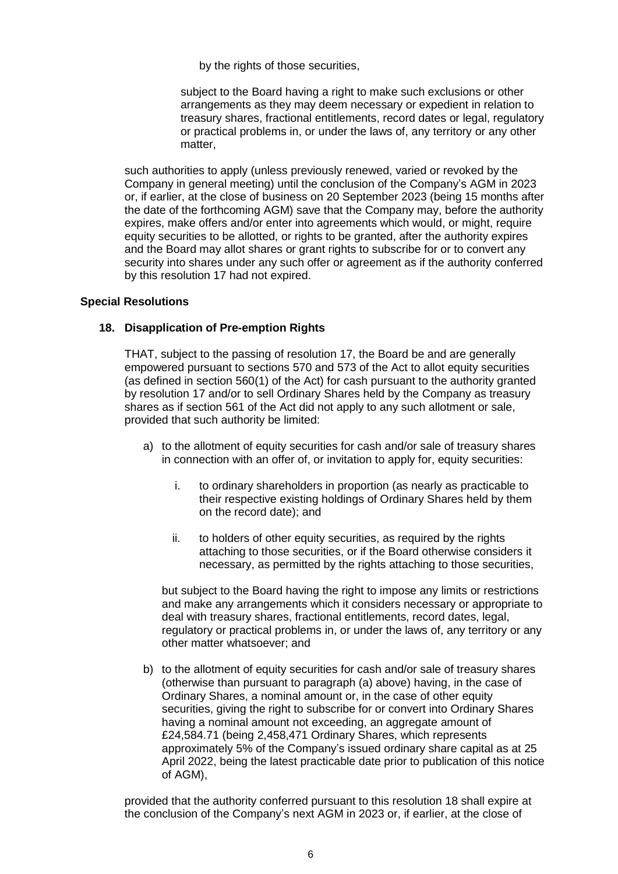by the rights of those securities,

subject to the Board having a right to make such exclusions or other arrangements as they may deem necessary or expedient in relation to treasury shares, fractional entitlements, record dates or legal, regulatory or practical problems in, or under the laws of, any territory or any other matter,

such authorities to apply (unless previously renewed, varied or revoked by the Company in general meeting) until the conclusion of the Company's AGM in 2023 or, if earlier, at the close of business on 20 September 2023 (being 15 months after the date of the forthcoming AGM) save that the Company may, before the authority expires, make offers and/or enter into agreements which would, or might, require equity securities to be allotted, or rights to be granted, after the authority expires and the Board may allot shares or grant rights to subscribe for or to convert any security into shares under any such offer or agreement as if the authority conferred by this resolution 17 had not expired.

## **Special Resolutions**

# **18. Disapplication of Pre-emption Rights**

THAT, subject to the passing of resolution 17, the Board be and are generally empowered pursuant to sections 570 and 573 of the Act to allot equity securities (as defined in section 560(1) of the Act) for cash pursuant to the authority granted by resolution 17 and/or to sell Ordinary Shares held by the Company as treasury shares as if section 561 of the Act did not apply to any such allotment or sale, provided that such authority be limited:

- a) to the allotment of equity securities for cash and/or sale of treasury shares in connection with an offer of, or invitation to apply for, equity securities:
	- i. to ordinary shareholders in proportion (as nearly as practicable to their respective existing holdings of Ordinary Shares held by them on the record date); and
	- ii. to holders of other equity securities, as required by the rights attaching to those securities, or if the Board otherwise considers it necessary, as permitted by the rights attaching to those securities,

but subject to the Board having the right to impose any limits or restrictions and make any arrangements which it considers necessary or appropriate to deal with treasury shares, fractional entitlements, record dates, legal, regulatory or practical problems in, or under the laws of, any territory or any other matter whatsoever; and

b) to the allotment of equity securities for cash and/or sale of treasury shares (otherwise than pursuant to paragraph (a) above) having, in the case of Ordinary Shares, a nominal amount or, in the case of other equity securities, giving the right to subscribe for or convert into Ordinary Shares having a nominal amount not exceeding, an aggregate amount of £24,584.71 (being 2,458,471 Ordinary Shares, which represents approximately 5% of the Company's issued ordinary share capital as at 25 April 2022, being the latest practicable date prior to publication of this notice of AGM),

provided that the authority conferred pursuant to this resolution 18 shall expire at the conclusion of the Company's next AGM in 2023 or, if earlier, at the close of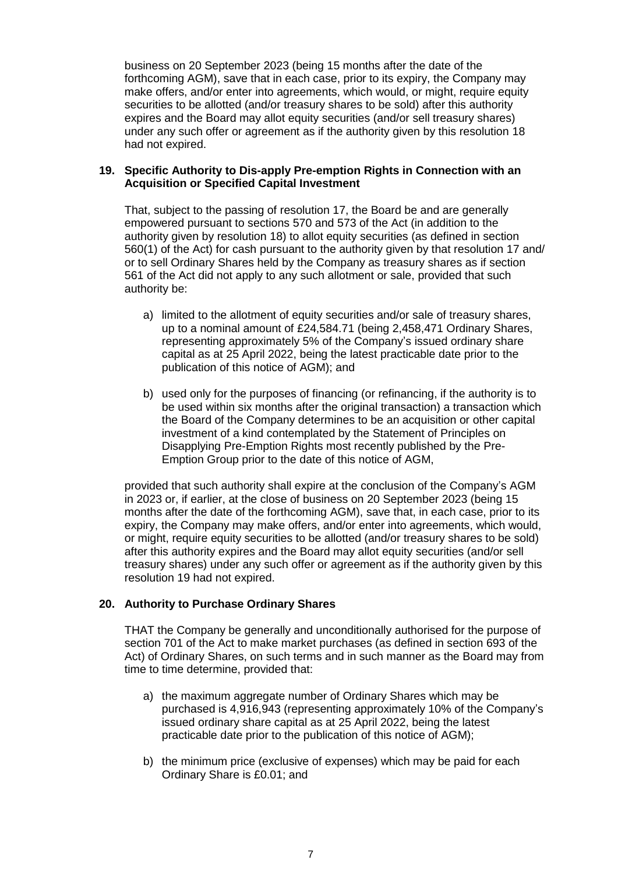business on 20 September 2023 (being 15 months after the date of the forthcoming AGM), save that in each case, prior to its expiry, the Company may make offers, and/or enter into agreements, which would, or might, require equity securities to be allotted (and/or treasury shares to be sold) after this authority expires and the Board may allot equity securities (and/or sell treasury shares) under any such offer or agreement as if the authority given by this resolution 18 had not expired.

## **19. Specific Authority to Dis-apply Pre-emption Rights in Connection with an Acquisition or Specified Capital Investment**

That, subject to the passing of resolution 17, the Board be and are generally empowered pursuant to sections 570 and 573 of the Act (in addition to the authority given by resolution 18) to allot equity securities (as defined in section 560(1) of the Act) for cash pursuant to the authority given by that resolution 17 and/ or to sell Ordinary Shares held by the Company as treasury shares as if section 561 of the Act did not apply to any such allotment or sale, provided that such authority be:

- a) limited to the allotment of equity securities and/or sale of treasury shares, up to a nominal amount of £24,584.71 (being 2,458,471 Ordinary Shares, representing approximately 5% of the Company's issued ordinary share capital as at 25 April 2022, being the latest practicable date prior to the publication of this notice of AGM); and
- b) used only for the purposes of financing (or refinancing, if the authority is to be used within six months after the original transaction) a transaction which the Board of the Company determines to be an acquisition or other capital investment of a kind contemplated by the Statement of Principles on Disapplying Pre-Emption Rights most recently published by the Pre-Emption Group prior to the date of this notice of AGM,

provided that such authority shall expire at the conclusion of the Company's AGM in 2023 or, if earlier, at the close of business on 20 September 2023 (being 15 months after the date of the forthcoming AGM), save that, in each case, prior to its expiry, the Company may make offers, and/or enter into agreements, which would, or might, require equity securities to be allotted (and/or treasury shares to be sold) after this authority expires and the Board may allot equity securities (and/or sell treasury shares) under any such offer or agreement as if the authority given by this resolution 19 had not expired.

# **20. Authority to Purchase Ordinary Shares**

THAT the Company be generally and unconditionally authorised for the purpose of section 701 of the Act to make market purchases (as defined in section 693 of the Act) of Ordinary Shares, on such terms and in such manner as the Board may from time to time determine, provided that:

- a) the maximum aggregate number of Ordinary Shares which may be purchased is 4,916,943 (representing approximately 10% of the Company's issued ordinary share capital as at 25 April 2022, being the latest practicable date prior to the publication of this notice of AGM);
- b) the minimum price (exclusive of expenses) which may be paid for each Ordinary Share is £0.01; and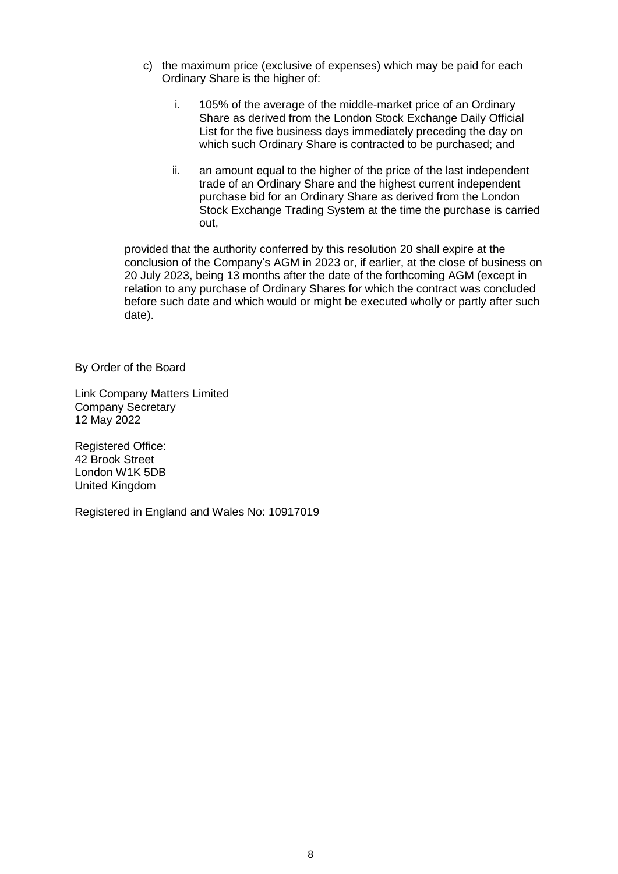- c) the maximum price (exclusive of expenses) which may be paid for each Ordinary Share is the higher of:
	- i. 105% of the average of the middle-market price of an Ordinary Share as derived from the London Stock Exchange Daily Official List for the five business days immediately preceding the day on which such Ordinary Share is contracted to be purchased; and
	- ii. an amount equal to the higher of the price of the last independent trade of an Ordinary Share and the highest current independent purchase bid for an Ordinary Share as derived from the London Stock Exchange Trading System at the time the purchase is carried out,

provided that the authority conferred by this resolution 20 shall expire at the conclusion of the Company's AGM in 2023 or, if earlier, at the close of business on 20 July 2023, being 13 months after the date of the forthcoming AGM (except in relation to any purchase of Ordinary Shares for which the contract was concluded before such date and which would or might be executed wholly or partly after such date).

By Order of the Board

Link Company Matters Limited Company Secretary 12 May 2022

Registered Office: 42 Brook Street London W1K 5DB United Kingdom

Registered in England and Wales No: 10917019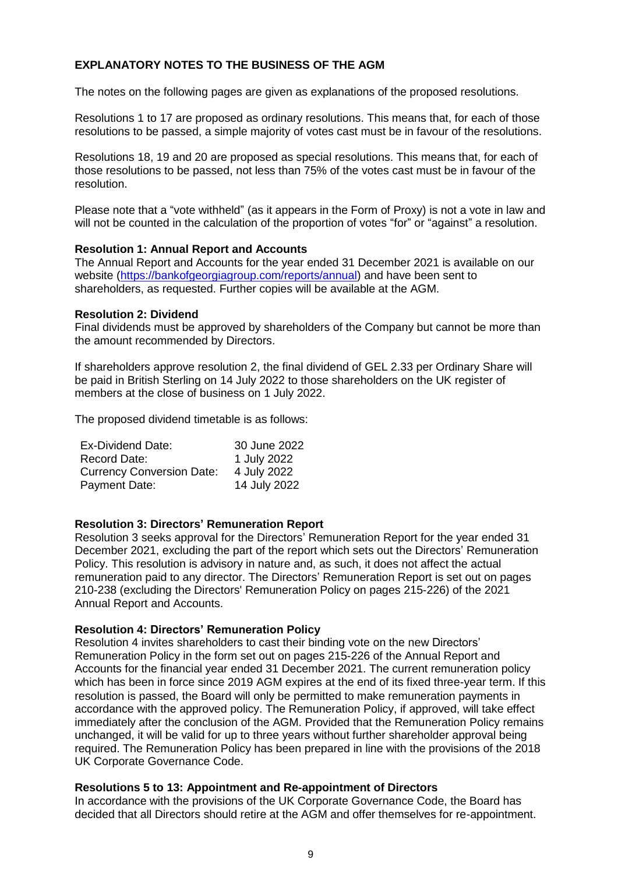# **EXPLANATORY NOTES TO THE BUSINESS OF THE AGM**

The notes on the following pages are given as explanations of the proposed resolutions.

Resolutions 1 to 17 are proposed as ordinary resolutions. This means that, for each of those resolutions to be passed, a simple majority of votes cast must be in favour of the resolutions.

Resolutions 18, 19 and 20 are proposed as special resolutions. This means that, for each of those resolutions to be passed, not less than 75% of the votes cast must be in favour of the resolution.

Please note that a "vote withheld" (as it appears in the Form of Proxy) is not a vote in law and will not be counted in the calculation of the proportion of votes "for" or "against" a resolution.

## **Resolution 1: Annual Report and Accounts**

The Annual Report and Accounts for the year ended 31 December 2021 is available on our website (https://bankofgeorgiagroup.com/reports/annual) and have been sent to shareholders, as requested. Further copies will be available at the AGM.

#### **Resolution 2: Dividend**

Final dividends must be approved by shareholders of the Company but cannot be more than the amount recommended by Directors.

If shareholders approve resolution 2, the final dividend of GEL 2.33 per Ordinary Share will be paid in British Sterling on 14 July 2022 to those shareholders on the UK register of members at the close of business on 1 July 2022.

The proposed dividend timetable is as follows:

| Ex-Dividend Date:                | 30 June 2022 |
|----------------------------------|--------------|
| Record Date:                     | 1 July 2022  |
| <b>Currency Conversion Date:</b> | 4 July 2022  |
| Payment Date:                    | 14 July 2022 |

#### **Resolution 3: Directors' Remuneration Report**

Resolution 3 seeks approval for the Directors' Remuneration Report for the year ended 31 December 2021, excluding the part of the report which sets out the Directors' Remuneration Policy. This resolution is advisory in nature and, as such, it does not affect the actual remuneration paid to any director. The Directors' Remuneration Report is set out on pages 210-238 (excluding the Directors' Remuneration Policy on pages 215-226) of the 2021 Annual Report and Accounts.

#### **Resolution 4: Directors' Remuneration Policy**

Resolution 4 invites shareholders to cast their binding vote on the new Directors' Remuneration Policy in the form set out on pages 215-226 of the Annual Report and Accounts for the financial year ended 31 December 2021. The current remuneration policy which has been in force since 2019 AGM expires at the end of its fixed three-year term. If this resolution is passed, the Board will only be permitted to make remuneration payments in accordance with the approved policy. The Remuneration Policy, if approved, will take effect immediately after the conclusion of the AGM. Provided that the Remuneration Policy remains unchanged, it will be valid for up to three years without further shareholder approval being required. The Remuneration Policy has been prepared in line with the provisions of the 2018 UK Corporate Governance Code.

# **Resolutions 5 to 13: Appointment and Re-appointment of Directors**

In accordance with the provisions of the UK Corporate Governance Code, the Board has decided that all Directors should retire at the AGM and offer themselves for re-appointment.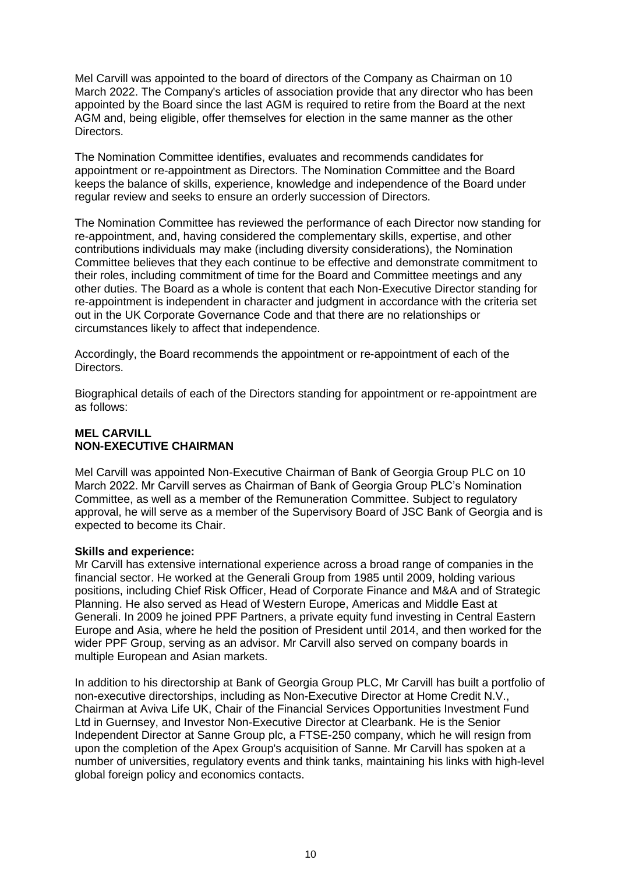Mel Carvill was appointed to the board of directors of the Company as Chairman on 10 March 2022. The Company's articles of association provide that any director who has been appointed by the Board since the last AGM is required to retire from the Board at the next AGM and, being eligible, offer themselves for election in the same manner as the other Directors.

The Nomination Committee identifies, evaluates and recommends candidates for appointment or re-appointment as Directors. The Nomination Committee and the Board keeps the balance of skills, experience, knowledge and independence of the Board under regular review and seeks to ensure an orderly succession of Directors.

The Nomination Committee has reviewed the performance of each Director now standing for re-appointment, and, having considered the complementary skills, expertise, and other contributions individuals may make (including diversity considerations), the Nomination Committee believes that they each continue to be effective and demonstrate commitment to their roles, including commitment of time for the Board and Committee meetings and any other duties. The Board as a whole is content that each Non-Executive Director standing for re-appointment is independent in character and judgment in accordance with the criteria set out in the UK Corporate Governance Code and that there are no relationships or circumstances likely to affect that independence.

Accordingly, the Board recommends the appointment or re-appointment of each of the Directors.

Biographical details of each of the Directors standing for appointment or re-appointment are as follows:

# **MEL CARVILL NON-EXECUTIVE CHAIRMAN**

Mel Carvill was appointed Non-Executive Chairman of Bank of Georgia Group PLC on 10 March 2022. Mr Carvill serves as Chairman of Bank of Georgia Group PLC's Nomination Committee, as well as a member of the Remuneration Committee. Subject to regulatory approval, he will serve as a member of the Supervisory Board of JSC Bank of Georgia and is expected to become its Chair.

# **Skills and experience:**

Mr Carvill has extensive international experience across a broad range of companies in the financial sector. He worked at the Generali Group from 1985 until 2009, holding various positions, including Chief Risk Officer, Head of Corporate Finance and M&A and of Strategic Planning. He also served as Head of Western Europe, Americas and Middle East at Generali. In 2009 he joined PPF Partners, a private equity fund investing in Central Eastern Europe and Asia, where he held the position of President until 2014, and then worked for the wider PPF Group, serving as an advisor. Mr Carvill also served on company boards in multiple European and Asian markets.

In addition to his directorship at Bank of Georgia Group PLC, Mr Carvill has built a portfolio of non-executive directorships, including as Non-Executive Director at Home Credit N.V., Chairman at Aviva Life UK, Chair of the Financial Services Opportunities Investment Fund Ltd in Guernsey, and Investor Non-Executive Director at Clearbank. He is the Senior Independent Director at Sanne Group plc, a FTSE-250 company, which he will resign from upon the completion of the Apex Group's acquisition of Sanne. Mr Carvill has spoken at a number of universities, regulatory events and think tanks, maintaining his links with high-level global foreign policy and economics contacts.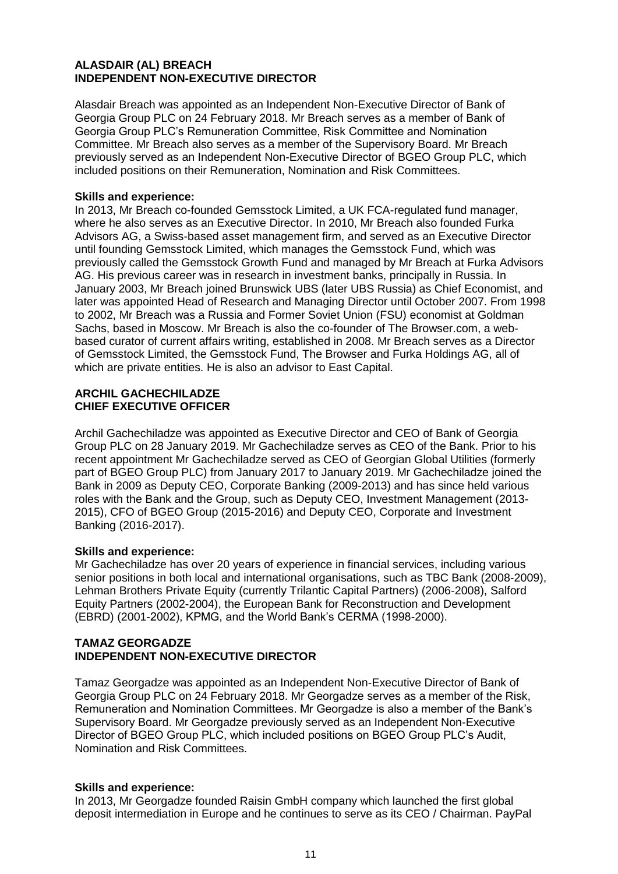## **ALASDAIR (AL) BREACH INDEPENDENT NON-EXECUTIVE DIRECTOR**

Alasdair Breach was appointed as an Independent Non-Executive Director of Bank of Georgia Group PLC on 24 February 2018. Mr Breach serves as a member of Bank of Georgia Group PLC's Remuneration Committee, Risk Committee and Nomination Committee. Mr Breach also serves as a member of the Supervisory Board. Mr Breach previously served as an Independent Non-Executive Director of BGEO Group PLC, which included positions on their Remuneration, Nomination and Risk Committees.

## **Skills and experience:**

In 2013, Mr Breach co-founded Gemsstock Limited, a UK FCA-regulated fund manager, where he also serves as an Executive Director. In 2010, Mr Breach also founded Furka Advisors AG, a Swiss-based asset management firm, and served as an Executive Director until founding Gemsstock Limited, which manages the Gemsstock Fund, which was previously called the Gemsstock Growth Fund and managed by Mr Breach at Furka Advisors AG. His previous career was in research in investment banks, principally in Russia. In January 2003, Mr Breach joined Brunswick UBS (later UBS Russia) as Chief Economist, and later was appointed Head of Research and Managing Director until October 2007. From 1998 to 2002, Mr Breach was a Russia and Former Soviet Union (FSU) economist at Goldman Sachs, based in Moscow. Mr Breach is also the co-founder of The Browser.com, a webbased curator of current affairs writing, established in 2008. Mr Breach serves as a Director of Gemsstock Limited, the Gemsstock Fund, The Browser and Furka Holdings AG, all of which are private entities. He is also an advisor to East Capital.

## **ARCHIL GACHECHILADZE CHIEF EXECUTIVE OFFICER**

Archil Gachechiladze was appointed as Executive Director and CEO of Bank of Georgia Group PLC on 28 January 2019. Mr Gachechiladze serves as CEO of the Bank. Prior to his recent appointment Mr Gachechiladze served as CEO of Georgian Global Utilities (formerly part of BGEO Group PLC) from January 2017 to January 2019. Mr Gachechiladze joined the Bank in 2009 as Deputy CEO, Corporate Banking (2009-2013) and has since held various roles with the Bank and the Group, such as Deputy CEO, Investment Management (2013- 2015), CFO of BGEO Group (2015-2016) and Deputy CEO, Corporate and Investment Banking (2016-2017).

#### **Skills and experience:**

Mr Gachechiladze has over 20 years of experience in financial services, including various senior positions in both local and international organisations, such as TBC Bank (2008-2009), Lehman Brothers Private Equity (currently Trilantic Capital Partners) (2006-2008), Salford Equity Partners (2002-2004), the European Bank for Reconstruction and Development (EBRD) (2001-2002), KPMG, and the World Bank's CERMA (1998-2000).

# **TAMAZ GEORGADZE INDEPENDENT NON-EXECUTIVE DIRECTOR**

Tamaz Georgadze was appointed as an Independent Non-Executive Director of Bank of Georgia Group PLC on 24 February 2018. Mr Georgadze serves as a member of the Risk, Remuneration and Nomination Committees. Mr Georgadze is also a member of the Bank's Supervisory Board. Mr Georgadze previously served as an Independent Non-Executive Director of BGEO Group PLC, which included positions on BGEO Group PLC's Audit, Nomination and Risk Committees.

# **Skills and experience:**

In 2013, Mr Georgadze founded Raisin GmbH company which launched the first global deposit intermediation in Europe and he continues to serve as its CEO / Chairman. PayPal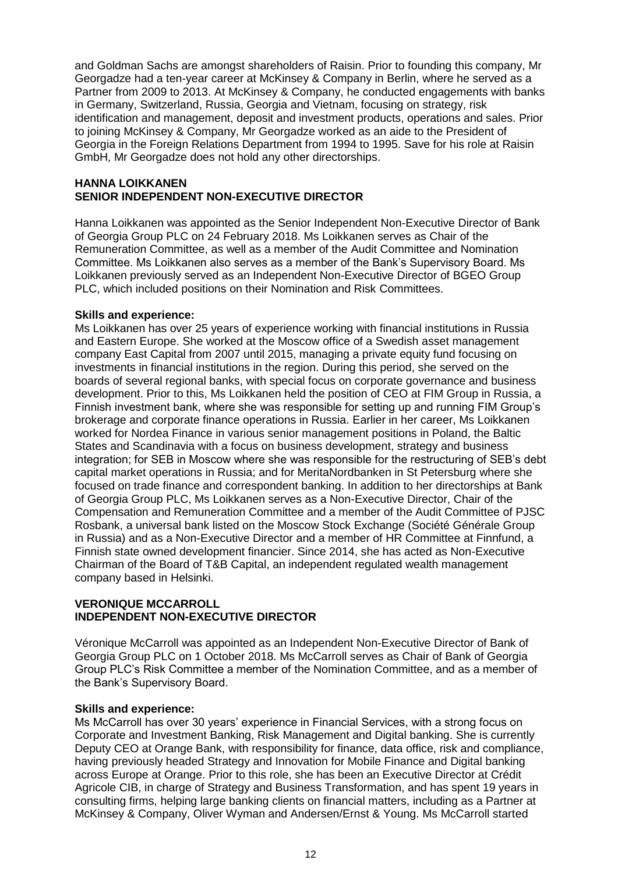and Goldman Sachs are amongst shareholders of Raisin. Prior to founding this company, Mr Georgadze had a ten-year career at McKinsey & Company in Berlin, where he served as a Partner from 2009 to 2013. At McKinsey & Company, he conducted engagements with banks in Germany, Switzerland, Russia, Georgia and Vietnam, focusing on strategy, risk identification and management, deposit and investment products, operations and sales. Prior to joining McKinsey & Company, Mr Georgadze worked as an aide to the President of Georgia in the Foreign Relations Department from 1994 to 1995. Save for his role at Raisin GmbH, Mr Georgadze does not hold any other directorships.

#### **HANNA LOIKKANEN SENIOR INDEPENDENT NON-EXECUTIVE DIRECTOR**

Hanna Loikkanen was appointed as the Senior Independent Non-Executive Director of Bank of Georgia Group PLC on 24 February 2018. Ms Loikkanen serves as Chair of the Remuneration Committee, as well as a member of the Audit Committee and Nomination Committee. Ms Loikkanen also serves as a member of the Bank's Supervisory Board. Ms Loikkanen previously served as an Independent Non-Executive Director of BGEO Group PLC, which included positions on their Nomination and Risk Committees.

## **Skills and experience:**

Ms Loikkanen has over 25 years of experience working with financial institutions in Russia and Eastern Europe. She worked at the Moscow office of a Swedish asset management company East Capital from 2007 until 2015, managing a private equity fund focusing on investments in financial institutions in the region. During this period, she served on the boards of several regional banks, with special focus on corporate governance and business development. Prior to this, Ms Loikkanen held the position of CEO at FIM Group in Russia, a Finnish investment bank, where she was responsible for setting up and running FIM Group's brokerage and corporate finance operations in Russia. Earlier in her career, Ms Loikkanen worked for Nordea Finance in various senior management positions in Poland, the Baltic States and Scandinavia with a focus on business development, strategy and business integration; for SEB in Moscow where she was responsible for the restructuring of SEB's debt capital market operations in Russia; and for MeritaNordbanken in St Petersburg where she focused on trade finance and correspondent banking. In addition to her directorships at Bank of Georgia Group PLC, Ms Loikkanen serves as a Non-Executive Director, Chair of the Compensation and Remuneration Committee and a member of the Audit Committee of PJSC Rosbank, a universal bank listed on the Moscow Stock Exchange (Société Générale Group in Russia) and as a Non-Executive Director and a member of HR Committee at Finnfund, a Finnish state owned development financier. Since 2014, she has acted as Non-Executive Chairman of the Board of T&B Capital, an independent regulated wealth management company based in Helsinki.

## **VERONIQUE MCCARROLL INDEPENDENT NON-EXECUTIVE DIRECTOR**

Véronique McCarroll was appointed as an Independent Non-Executive Director of Bank of Georgia Group PLC on 1 October 2018. Ms McCarroll serves as Chair of Bank of Georgia Group PLC's Risk Committee a member of the Nomination Committee, and as a member of the Bank's Supervisory Board.

# **Skills and experience:**

Ms McCarroll has over 30 years' experience in Financial Services, with a strong focus on Corporate and Investment Banking, Risk Management and Digital banking. She is currently Deputy CEO at Orange Bank, with responsibility for finance, data office, risk and compliance, having previously headed Strategy and Innovation for Mobile Finance and Digital banking across Europe at Orange. Prior to this role, she has been an Executive Director at Crédit Agricole CIB, in charge of Strategy and Business Transformation, and has spent 19 years in consulting firms, helping large banking clients on financial matters, including as a Partner at McKinsey & Company, Oliver Wyman and Andersen/Ernst & Young. Ms McCarroll started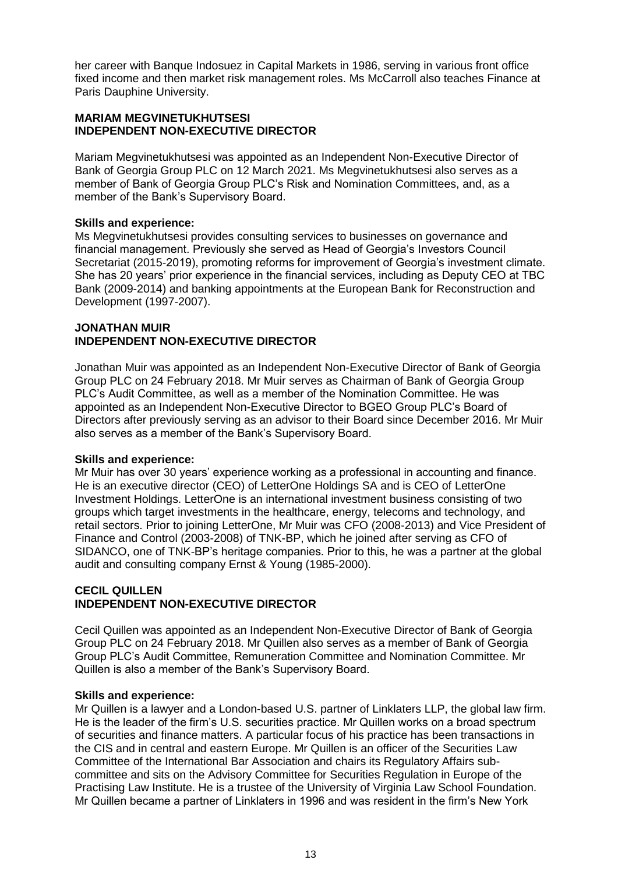her career with Banque Indosuez in Capital Markets in 1986, serving in various front office fixed income and then market risk management roles. Ms McCarroll also teaches Finance at Paris Dauphine University.

# **MARIAM MEGVINETUKHUTSESI INDEPENDENT NON-EXECUTIVE DIRECTOR**

Mariam Megvinetukhutsesi was appointed as an Independent Non-Executive Director of Bank of Georgia Group PLC on 12 March 2021. Ms Megvinetukhutsesi also serves as a member of Bank of Georgia Group PLC's Risk and Nomination Committees, and, as a member of the Bank's Supervisory Board.

# **Skills and experience:**

Ms Megvinetukhutsesi provides consulting services to businesses on governance and financial management. Previously she served as Head of Georgia's Investors Council Secretariat (2015-2019), promoting reforms for improvement of Georgia's investment climate. She has 20 years' prior experience in the financial services, including as Deputy CEO at TBC Bank (2009-2014) and banking appointments at the European Bank for Reconstruction and Development (1997-2007).

## **JONATHAN MUIR INDEPENDENT NON-EXECUTIVE DIRECTOR**

Jonathan Muir was appointed as an Independent Non-Executive Director of Bank of Georgia Group PLC on 24 February 2018. Mr Muir serves as Chairman of Bank of Georgia Group PLC's Audit Committee, as well as a member of the Nomination Committee. He was appointed as an Independent Non-Executive Director to BGEO Group PLC's Board of Directors after previously serving as an advisor to their Board since December 2016. Mr Muir also serves as a member of the Bank's Supervisory Board.

# **Skills and experience:**

Mr Muir has over 30 years' experience working as a professional in accounting and finance. He is an executive director (CEO) of LetterOne Holdings SA and is CEO of LetterOne Investment Holdings. LetterOne is an international investment business consisting of two groups which target investments in the healthcare, energy, telecoms and technology, and retail sectors. Prior to joining LetterOne, Mr Muir was CFO (2008-2013) and Vice President of Finance and Control (2003-2008) of TNK-BP, which he joined after serving as CFO of SIDANCO, one of TNK-BP's heritage companies. Prior to this, he was a partner at the global audit and consulting company Ernst & Young (1985-2000).

# **CECIL QUILLEN INDEPENDENT NON-EXECUTIVE DIRECTOR**

Cecil Quillen was appointed as an Independent Non-Executive Director of Bank of Georgia Group PLC on 24 February 2018. Mr Quillen also serves as a member of Bank of Georgia Group PLC's Audit Committee, Remuneration Committee and Nomination Committee. Mr Quillen is also a member of the Bank's Supervisory Board.

# **Skills and experience:**

Mr Quillen is a lawyer and a London-based U.S. partner of Linklaters LLP, the global law firm. He is the leader of the firm's U.S. securities practice. Mr Quillen works on a broad spectrum of securities and finance matters. A particular focus of his practice has been transactions in the CIS and in central and eastern Europe. Mr Quillen is an officer of the Securities Law Committee of the International Bar Association and chairs its Regulatory Affairs subcommittee and sits on the Advisory Committee for Securities Regulation in Europe of the Practising Law Institute. He is a trustee of the University of Virginia Law School Foundation. Mr Quillen became a partner of Linklaters in 1996 and was resident in the firm's New York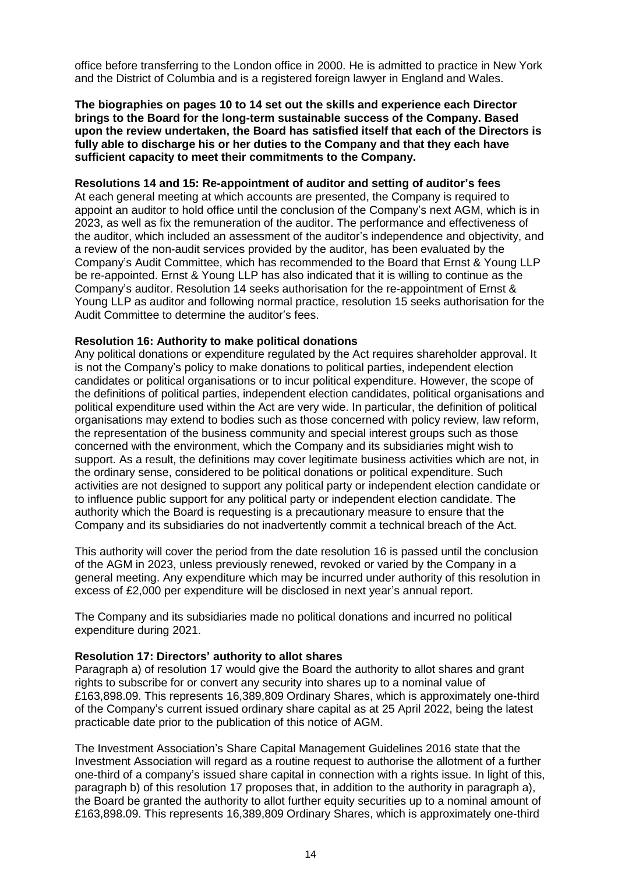office before transferring to the London office in 2000. He is admitted to practice in New York and the District of Columbia and is a registered foreign lawyer in England and Wales.

#### **The biographies on pages 10 to 14 set out the skills and experience each Director brings to the Board for the long-term sustainable success of the Company. Based upon the review undertaken, the Board has satisfied itself that each of the Directors is fully able to discharge his or her duties to the Company and that they each have sufficient capacity to meet their commitments to the Company.**

#### **Resolutions 14 and 15: Re-appointment of auditor and setting of auditor's fees**

At each general meeting at which accounts are presented, the Company is required to appoint an auditor to hold office until the conclusion of the Company's next AGM, which is in 2023, as well as fix the remuneration of the auditor. The performance and effectiveness of the auditor, which included an assessment of the auditor's independence and objectivity, and a review of the non-audit services provided by the auditor, has been evaluated by the Company's Audit Committee, which has recommended to the Board that Ernst & Young LLP be re-appointed. Ernst & Young LLP has also indicated that it is willing to continue as the Company's auditor. Resolution 14 seeks authorisation for the re-appointment of Ernst & Young LLP as auditor and following normal practice, resolution 15 seeks authorisation for the Audit Committee to determine the auditor's fees.

#### **Resolution 16: Authority to make political donations**

Any political donations or expenditure regulated by the Act requires shareholder approval. It is not the Company's policy to make donations to political parties, independent election candidates or political organisations or to incur political expenditure. However, the scope of the definitions of political parties, independent election candidates, political organisations and political expenditure used within the Act are very wide. In particular, the definition of political organisations may extend to bodies such as those concerned with policy review, law reform, the representation of the business community and special interest groups such as those concerned with the environment, which the Company and its subsidiaries might wish to support. As a result, the definitions may cover legitimate business activities which are not, in the ordinary sense, considered to be political donations or political expenditure. Such activities are not designed to support any political party or independent election candidate or to influence public support for any political party or independent election candidate. The authority which the Board is requesting is a precautionary measure to ensure that the Company and its subsidiaries do not inadvertently commit a technical breach of the Act.

This authority will cover the period from the date resolution 16 is passed until the conclusion of the AGM in 2023, unless previously renewed, revoked or varied by the Company in a general meeting. Any expenditure which may be incurred under authority of this resolution in excess of £2,000 per expenditure will be disclosed in next year's annual report.

The Company and its subsidiaries made no political donations and incurred no political expenditure during 2021.

#### **Resolution 17: Directors' authority to allot shares**

Paragraph a) of resolution 17 would give the Board the authority to allot shares and grant rights to subscribe for or convert any security into shares up to a nominal value of £163,898.09. This represents 16,389,809 Ordinary Shares, which is approximately one-third of the Company's current issued ordinary share capital as at 25 April 2022, being the latest practicable date prior to the publication of this notice of AGM.

The Investment Association's Share Capital Management Guidelines 2016 state that the Investment Association will regard as a routine request to authorise the allotment of a further one-third of a company's issued share capital in connection with a rights issue. In light of this, paragraph b) of this resolution 17 proposes that, in addition to the authority in paragraph a), the Board be granted the authority to allot further equity securities up to a nominal amount of £163,898.09. This represents 16,389,809 Ordinary Shares, which is approximately one-third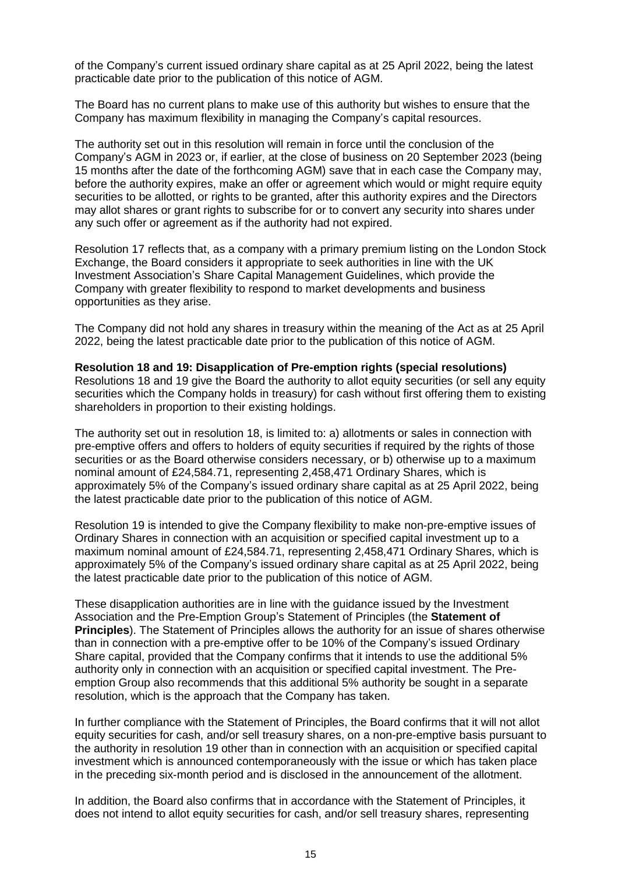of the Company's current issued ordinary share capital as at 25 April 2022, being the latest practicable date prior to the publication of this notice of AGM.

The Board has no current plans to make use of this authority but wishes to ensure that the Company has maximum flexibility in managing the Company's capital resources.

The authority set out in this resolution will remain in force until the conclusion of the Company's AGM in 2023 or, if earlier, at the close of business on 20 September 2023 (being 15 months after the date of the forthcoming AGM) save that in each case the Company may, before the authority expires, make an offer or agreement which would or might require equity securities to be allotted, or rights to be granted, after this authority expires and the Directors may allot shares or grant rights to subscribe for or to convert any security into shares under any such offer or agreement as if the authority had not expired.

Resolution 17 reflects that, as a company with a primary premium listing on the London Stock Exchange, the Board considers it appropriate to seek authorities in line with the UK Investment Association's Share Capital Management Guidelines, which provide the Company with greater flexibility to respond to market developments and business opportunities as they arise.

The Company did not hold any shares in treasury within the meaning of the Act as at 25 April 2022, being the latest practicable date prior to the publication of this notice of AGM.

**Resolution 18 and 19: Disapplication of Pre-emption rights (special resolutions)** Resolutions 18 and 19 give the Board the authority to allot equity securities (or sell any equity securities which the Company holds in treasury) for cash without first offering them to existing shareholders in proportion to their existing holdings.

The authority set out in resolution 18, is limited to: a) allotments or sales in connection with pre-emptive offers and offers to holders of equity securities if required by the rights of those securities or as the Board otherwise considers necessary, or b) otherwise up to a maximum nominal amount of £24,584.71, representing 2,458,471 Ordinary Shares, which is approximately 5% of the Company's issued ordinary share capital as at 25 April 2022, being the latest practicable date prior to the publication of this notice of AGM.

Resolution 19 is intended to give the Company flexibility to make non-pre-emptive issues of Ordinary Shares in connection with an acquisition or specified capital investment up to a maximum nominal amount of £24,584.71, representing 2,458,471 Ordinary Shares, which is approximately 5% of the Company's issued ordinary share capital as at 25 April 2022, being the latest practicable date prior to the publication of this notice of AGM.

These disapplication authorities are in line with the guidance issued by the Investment Association and the Pre-Emption Group's Statement of Principles (the **Statement of Principles**). The Statement of Principles allows the authority for an issue of shares otherwise than in connection with a pre-emptive offer to be 10% of the Company's issued Ordinary Share capital, provided that the Company confirms that it intends to use the additional 5% authority only in connection with an acquisition or specified capital investment. The Preemption Group also recommends that this additional 5% authority be sought in a separate resolution, which is the approach that the Company has taken.

In further compliance with the Statement of Principles, the Board confirms that it will not allot equity securities for cash, and/or sell treasury shares, on a non-pre-emptive basis pursuant to the authority in resolution 19 other than in connection with an acquisition or specified capital investment which is announced contemporaneously with the issue or which has taken place in the preceding six-month period and is disclosed in the announcement of the allotment.

In addition, the Board also confirms that in accordance with the Statement of Principles, it does not intend to allot equity securities for cash, and/or sell treasury shares, representing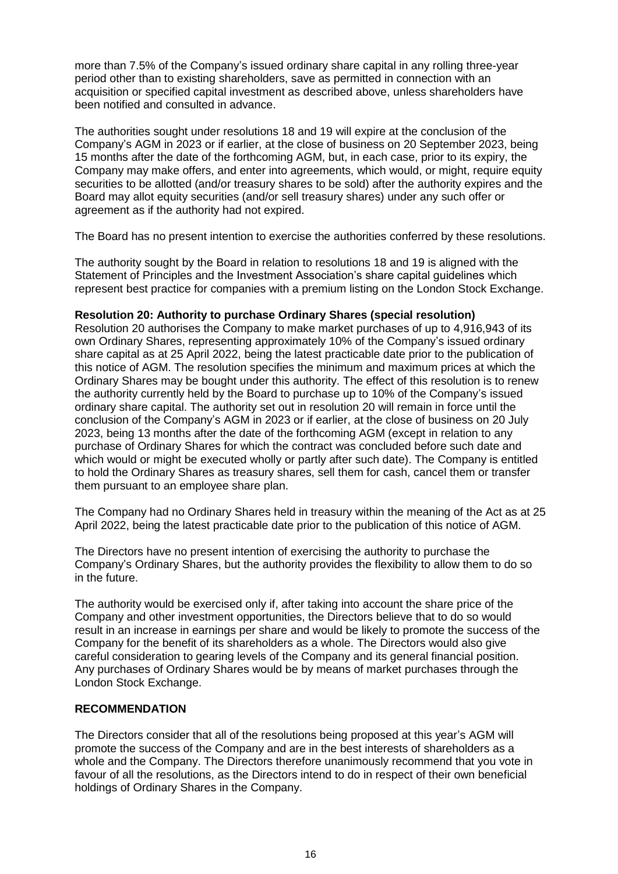more than 7.5% of the Company's issued ordinary share capital in any rolling three-year period other than to existing shareholders, save as permitted in connection with an acquisition or specified capital investment as described above, unless shareholders have been notified and consulted in advance.

The authorities sought under resolutions 18 and 19 will expire at the conclusion of the Company's AGM in 2023 or if earlier, at the close of business on 20 September 2023, being 15 months after the date of the forthcoming AGM, but, in each case, prior to its expiry, the Company may make offers, and enter into agreements, which would, or might, require equity securities to be allotted (and/or treasury shares to be sold) after the authority expires and the Board may allot equity securities (and/or sell treasury shares) under any such offer or agreement as if the authority had not expired.

The Board has no present intention to exercise the authorities conferred by these resolutions.

The authority sought by the Board in relation to resolutions 18 and 19 is aligned with the Statement of Principles and the Investment Association's share capital guidelines which represent best practice for companies with a premium listing on the London Stock Exchange.

# **Resolution 20: Authority to purchase Ordinary Shares (special resolution)**

Resolution 20 authorises the Company to make market purchases of up to 4,916,943 of its own Ordinary Shares, representing approximately 10% of the Company's issued ordinary share capital as at 25 April 2022, being the latest practicable date prior to the publication of this notice of AGM. The resolution specifies the minimum and maximum prices at which the Ordinary Shares may be bought under this authority. The effect of this resolution is to renew the authority currently held by the Board to purchase up to 10% of the Company's issued ordinary share capital. The authority set out in resolution 20 will remain in force until the conclusion of the Company's AGM in 2023 or if earlier, at the close of business on 20 July 2023, being 13 months after the date of the forthcoming AGM (except in relation to any purchase of Ordinary Shares for which the contract was concluded before such date and which would or might be executed wholly or partly after such date). The Company is entitled to hold the Ordinary Shares as treasury shares, sell them for cash, cancel them or transfer them pursuant to an employee share plan.

The Company had no Ordinary Shares held in treasury within the meaning of the Act as at 25 April 2022, being the latest practicable date prior to the publication of this notice of AGM.

The Directors have no present intention of exercising the authority to purchase the Company's Ordinary Shares, but the authority provides the flexibility to allow them to do so in the future.

The authority would be exercised only if, after taking into account the share price of the Company and other investment opportunities, the Directors believe that to do so would result in an increase in earnings per share and would be likely to promote the success of the Company for the benefit of its shareholders as a whole. The Directors would also give careful consideration to gearing levels of the Company and its general financial position. Any purchases of Ordinary Shares would be by means of market purchases through the London Stock Exchange.

# **RECOMMENDATION**

The Directors consider that all of the resolutions being proposed at this year's AGM will promote the success of the Company and are in the best interests of shareholders as a whole and the Company. The Directors therefore unanimously recommend that you vote in favour of all the resolutions, as the Directors intend to do in respect of their own beneficial holdings of Ordinary Shares in the Company.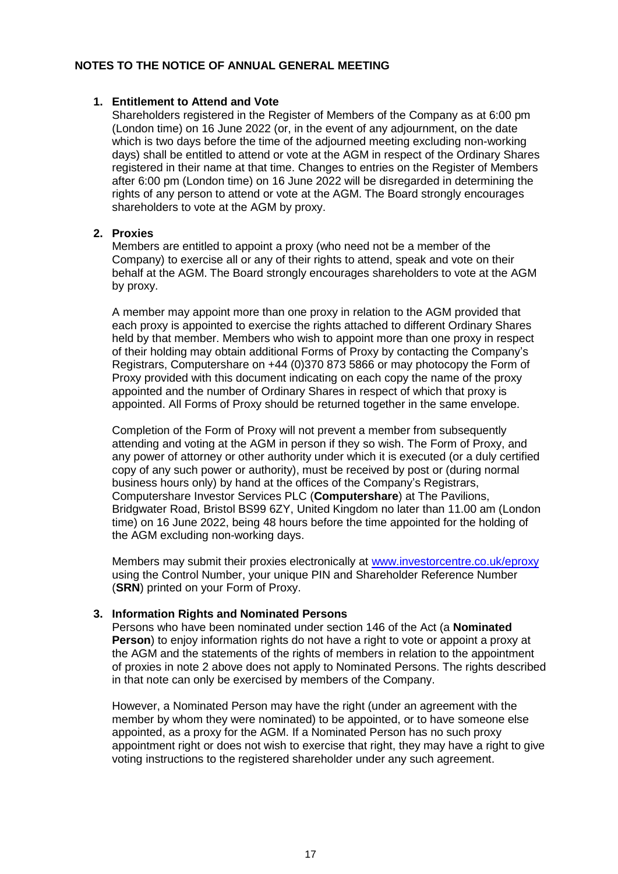# **NOTES TO THE NOTICE OF ANNUAL GENERAL MEETING**

## **1. Entitlement to Attend and Vote**

Shareholders registered in the Register of Members of the Company as at 6:00 pm (London time) on 16 June 2022 (or, in the event of any adjournment, on the date which is two days before the time of the adjourned meeting excluding non-working days) shall be entitled to attend or vote at the AGM in respect of the Ordinary Shares registered in their name at that time. Changes to entries on the Register of Members after 6:00 pm (London time) on 16 June 2022 will be disregarded in determining the rights of any person to attend or vote at the AGM. The Board strongly encourages shareholders to vote at the AGM by proxy.

## **2. Proxies**

Members are entitled to appoint a proxy (who need not be a member of the Company) to exercise all or any of their rights to attend, speak and vote on their behalf at the AGM. The Board strongly encourages shareholders to vote at the AGM by proxy.

A member may appoint more than one proxy in relation to the AGM provided that each proxy is appointed to exercise the rights attached to different Ordinary Shares held by that member. Members who wish to appoint more than one proxy in respect of their holding may obtain additional Forms of Proxy by contacting the Company's Registrars, Computershare on +44 (0)370 873 5866 or may photocopy the Form of Proxy provided with this document indicating on each copy the name of the proxy appointed and the number of Ordinary Shares in respect of which that proxy is appointed. All Forms of Proxy should be returned together in the same envelope.

Completion of the Form of Proxy will not prevent a member from subsequently attending and voting at the AGM in person if they so wish. The Form of Proxy, and any power of attorney or other authority under which it is executed (or a duly certified copy of any such power or authority), must be received by post or (during normal business hours only) by hand at the offices of the Company's Registrars, Computershare Investor Services PLC (**Computershare**) at The Pavilions, Bridgwater Road, Bristol BS99 6ZY, United Kingdom no later than 11.00 am (London time) on 16 June 2022, being 48 hours before the time appointed for the holding of the AGM excluding non-working days.

Members may submit their proxies electronically at [www.investorcentre.co.uk/eproxy](http://www.investorcentre.co.uk/eproxy) using the Control Number, your unique PIN and Shareholder Reference Number (**SRN**) printed on your Form of Proxy.

# **3. Information Rights and Nominated Persons**

Persons who have been nominated under section 146 of the Act (a **Nominated Person**) to enjoy information rights do not have a right to vote or appoint a proxy at the AGM and the statements of the rights of members in relation to the appointment of proxies in note 2 above does not apply to Nominated Persons. The rights described in that note can only be exercised by members of the Company.

However, a Nominated Person may have the right (under an agreement with the member by whom they were nominated) to be appointed, or to have someone else appointed, as a proxy for the AGM. If a Nominated Person has no such proxy appointment right or does not wish to exercise that right, they may have a right to give voting instructions to the registered shareholder under any such agreement.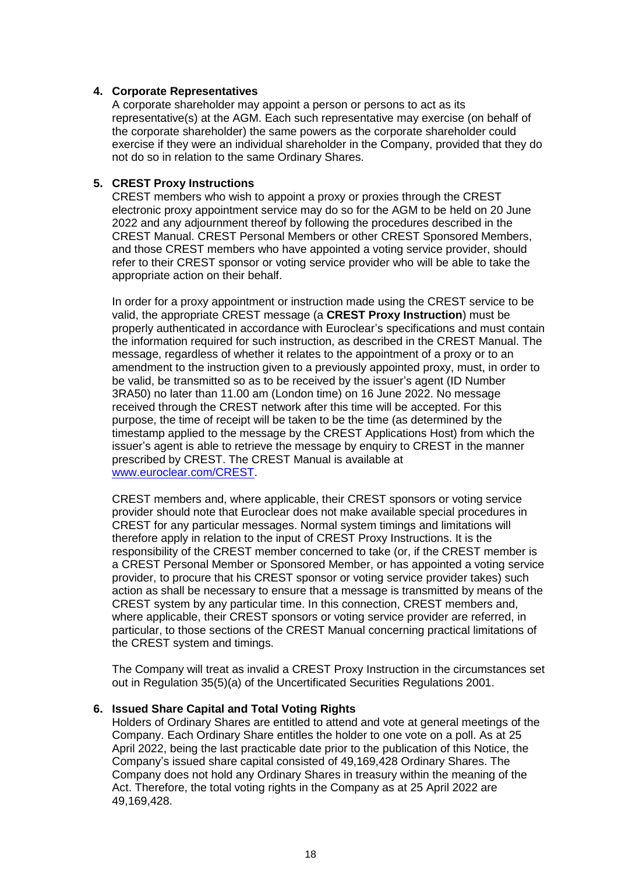## **4. Corporate Representatives**

A corporate shareholder may appoint a person or persons to act as its representative(s) at the AGM. Each such representative may exercise (on behalf of the corporate shareholder) the same powers as the corporate shareholder could exercise if they were an individual shareholder in the Company, provided that they do not do so in relation to the same Ordinary Shares.

## **5. CREST Proxy Instructions**

CREST members who wish to appoint a proxy or proxies through the CREST electronic proxy appointment service may do so for the AGM to be held on 20 June 2022 and any adjournment thereof by following the procedures described in the CREST Manual. CREST Personal Members or other CREST Sponsored Members, and those CREST members who have appointed a voting service provider, should refer to their CREST sponsor or voting service provider who will be able to take the appropriate action on their behalf.

In order for a proxy appointment or instruction made using the CREST service to be valid, the appropriate CREST message (a **CREST Proxy Instruction**) must be properly authenticated in accordance with Euroclear's specifications and must contain the information required for such instruction, as described in the CREST Manual. The message, regardless of whether it relates to the appointment of a proxy or to an amendment to the instruction given to a previously appointed proxy, must, in order to be valid, be transmitted so as to be received by the issuer's agent (ID Number 3RA50) no later than 11.00 am (London time) on 16 June 2022. No message received through the CREST network after this time will be accepted. For this purpose, the time of receipt will be taken to be the time (as determined by the timestamp applied to the message by the CREST Applications Host) from which the issuer's agent is able to retrieve the message by enquiry to CREST in the manner prescribed by CREST. The CREST Manual is available at [www.euroclear.com/CREST.](http://www.euroclear.com/CREST)

CREST members and, where applicable, their CREST sponsors or voting service provider should note that Euroclear does not make available special procedures in CREST for any particular messages. Normal system timings and limitations will therefore apply in relation to the input of CREST Proxy Instructions. It is the responsibility of the CREST member concerned to take (or, if the CREST member is a CREST Personal Member or Sponsored Member, or has appointed a voting service provider, to procure that his CREST sponsor or voting service provider takes) such action as shall be necessary to ensure that a message is transmitted by means of the CREST system by any particular time. In this connection, CREST members and, where applicable, their CREST sponsors or voting service provider are referred, in particular, to those sections of the CREST Manual concerning practical limitations of the CREST system and timings.

The Company will treat as invalid a CREST Proxy Instruction in the circumstances set out in Regulation 35(5)(a) of the Uncertificated Securities Regulations 2001.

#### **6. Issued Share Capital and Total Voting Rights**

Holders of Ordinary Shares are entitled to attend and vote at general meetings of the Company. Each Ordinary Share entitles the holder to one vote on a poll. As at 25 April 2022, being the last practicable date prior to the publication of this Notice, the Company's issued share capital consisted of 49,169,428 Ordinary Shares. The Company does not hold any Ordinary Shares in treasury within the meaning of the Act. Therefore, the total voting rights in the Company as at 25 April 2022 are 49,169,428.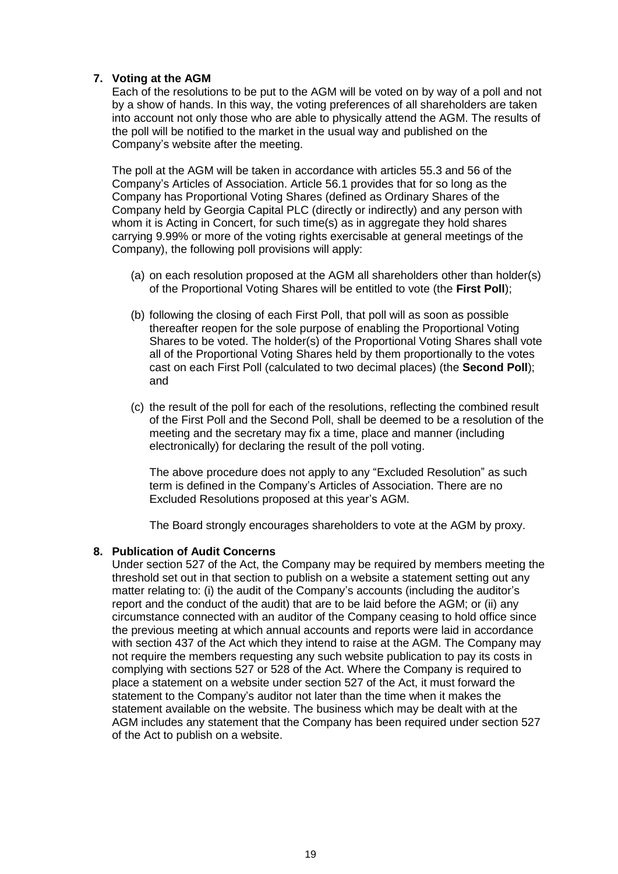# **7. Voting at the AGM**

Each of the resolutions to be put to the AGM will be voted on by way of a poll and not by a show of hands. In this way, the voting preferences of all shareholders are taken into account not only those who are able to physically attend the AGM. The results of the poll will be notified to the market in the usual way and published on the Company's website after the meeting.

The poll at the AGM will be taken in accordance with articles 55.3 and 56 of the Company's Articles of Association. Article 56.1 provides that for so long as the Company has Proportional Voting Shares (defined as Ordinary Shares of the Company held by Georgia Capital PLC (directly or indirectly) and any person with whom it is Acting in Concert, for such time(s) as in aggregate they hold shares carrying 9.99% or more of the voting rights exercisable at general meetings of the Company), the following poll provisions will apply:

- (a) on each resolution proposed at the AGM all shareholders other than holder(s) of the Proportional Voting Shares will be entitled to vote (the **First Poll**);
- (b) following the closing of each First Poll, that poll will as soon as possible thereafter reopen for the sole purpose of enabling the Proportional Voting Shares to be voted. The holder(s) of the Proportional Voting Shares shall vote all of the Proportional Voting Shares held by them proportionally to the votes cast on each First Poll (calculated to two decimal places) (the **Second Poll**); and
- (c) the result of the poll for each of the resolutions, reflecting the combined result of the First Poll and the Second Poll, shall be deemed to be a resolution of the meeting and the secretary may fix a time, place and manner (including electronically) for declaring the result of the poll voting.

The above procedure does not apply to any "Excluded Resolution" as such term is defined in the Company's Articles of Association. There are no Excluded Resolutions proposed at this year's AGM.

The Board strongly encourages shareholders to vote at the AGM by proxy.

# **8. Publication of Audit Concerns**

Under section 527 of the Act, the Company may be required by members meeting the threshold set out in that section to publish on a website a statement setting out any matter relating to: (i) the audit of the Company's accounts (including the auditor's report and the conduct of the audit) that are to be laid before the AGM; or (ii) any circumstance connected with an auditor of the Company ceasing to hold office since the previous meeting at which annual accounts and reports were laid in accordance with section 437 of the Act which they intend to raise at the AGM. The Company may not require the members requesting any such website publication to pay its costs in complying with sections 527 or 528 of the Act. Where the Company is required to place a statement on a website under section 527 of the Act, it must forward the statement to the Company's auditor not later than the time when it makes the statement available on the website. The business which may be dealt with at the AGM includes any statement that the Company has been required under section 527 of the Act to publish on a website.